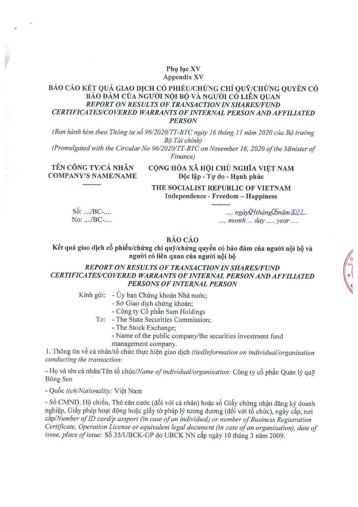#### Phy luc XV **Appendix XV**

## BÁO CÁO KẾT QUẢ GIAO DỊCH CỔ PHIẾU/CHỨNG CHỈ QUỮ/CHỨNG QUYỀN CÓ BẢO ĐẢM CỦA NGƯỜI NỘI BỘ VÀ NGƯỜI CÓ LIÊN QUAN **REPORT ON RESULTS OF TRANSACTION IN SHARES/FUND** CERTIFICATES/COVERED WARRANTS OF INTERNAL PERSON AND AFFILIATED **PERSON**

(Ban hành kèm theo Thông tư số 96/2020/TT-BTC ngày 16 tháng 11 năm 2020 của Bộ trưởng Bộ Tài chính)

(Promulgated with the Circular No 96/2020/TT-BTC on November 16, 2020 of the Minister of Finance)

TÊN CÔNG TY/CÁ NHÂN **COMPANY'S NAME/NAME**  CỘNG HÒA XÃ HỘI CHỦ NGHĨA VIỆT NAM Độc lập - Tự do - Hạnh phúc

THE SOCIALIST REPUBLIC OF VIETNAM Independence - Freedom - Happiness

 $S\acute{\mathrm{o}}$ : ..../BC-... No: ..../BC-....

..., ngày Q4tháng Chi măm 2022 ..., month ... day ..... year ....

# **BÁO CÁO**

Kết quả giao dịch cổ phiếu/chứng chỉ quỹ/chứng quyền có bảo đảm của người nội bộ và người có liên quan của người nội bộ

## REPORT ON RESULTS OF TRANSACTION IN SHARES/FUND CERTIFICATES/COVERED WARRANTS OF INTERNAL PERSON AND AFFILIATED PERSONS OF INTERNAL PERSON

Kính gửi: - Ủy ban Chứng khoán Nhà nước;

- Sở Giao dịch chứng khoán;
- Công ty Cổ phần Sam Holdings
- To: The State Securities Commission:
	- The Stock Exchange;
	- Name of the public company/the securities investment fund management company.

1. Thông tin về cá nhân/tổ chức thực hiện giao dịch (tiedInformation on individual/organisation conducting the transaction:

- Họ và tên cá nhân/Tên tổ chức/Name of individual/organisation: Công ty cổ phần Quản lý quỹ Bông Sen

- Quốc tịch/Nationality: Việt Nam

- Số CMND, Hộ chiếu, Thẻ căn cước (đối với cá nhân) hoặc số Giấy chứng nhận đăng ký doanh nghiệp, Giấy phép hoạt động hoặc giấy tờ pháp lý tương đương (đối với tổ chức), ngày cấp, nơi  $c\acute{a}p/Number$  of ID card/p assport (in case of an individual) or number of Business Registration Certificate, Operation License or equivalent legal document (in case of an organisation), date of issue, place of issue: Số 35/UBCK-GP do UBCK NN cấp ngày 10 tháng 3 năm 2009.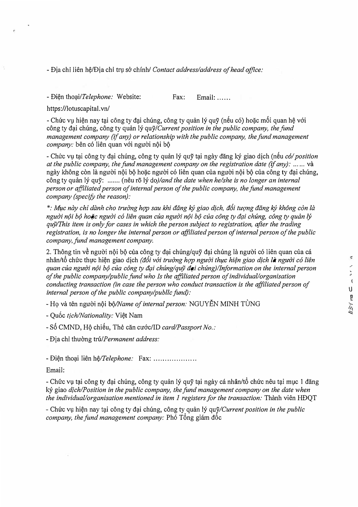- Dia chi lien h?/Dia chi tr\1 s& chfnh/ *Contact address/address of head office:* 

- Diên thoai/*Telephone*: Website: Fax: Email: .....

https://lotuscapital.vn/

- Chức vụ hiện nay tại công ty đại chúng, công ty quản lý quỹ (nếu có) hoặc mối quan hệ với công ty đại chúng, công ty quản lý quỹ/Current position in the public company, the fund *management company (if any) or relationship with the public company, the fimd management company:* bên có liên quan với người nội bộ

- Chuc *V\I* t(li cong ty d(li chung, cong ty guan ly guy t(li ngay dang ky giao dich (nSu *col position at the public company, the fund management company on the registration date (if any):* ... ... và ngày không còn là người nôi bô hoặc người có liên quan của người nôi bô của công ty đại chúng, công ty quản lý quỹ: ....... (nêu rõ lý do)/and the date when he/she is no longer an internal *person or affiliated person of internal person of the public company, the fund management company (specify the reason):* 

*\*: M11c nay chi danh cha truimg hop sau khi dang ky giao d/ch, d6i tu(fng dang ky kh6ng con la*  nguời nội bộ hoặc người có liên quan của người nội bộ của công ty đại chúng, công ty quản lý *quy/This item is only for cases in which the person subject to registration, after the trading registration, is no longer the internal person or affiliated person of internal person of the public company, fund management company.* 

2. Thông tin về người nội bộ của công ty đại chúng/quỹ đại chúng là người có liên quan của cá nhan/t6 chfrc th\fC hi?n giao dich *(d6i v6'i truong h(fp ngu&i th!(c hifn giao d/ch la ngu&i c6 lien quan cua ngu&i n9i b9 cua c6ng ty dr;ii chunglquy dr;ii chung)llnformation on the internal person of the public company/public fond who Is the affiliated person of individual/organisation conducting transaction (in case the person who conduct transaction is the affiliated person of internal person of the public company/publlc fund):*

- Họ và tên người nội bộ/Name of internal person: NGUYỄN MINH TÙNG

- Qu6c *I/ch/Nationality:* Vi?t Nam

- Số CMND, Hộ chiếu, Thẻ căn cước/ID *card/Passport No.:* 

- Dia chi thu&ng *tru.!Permanent address:* 

- Điện thoại liên hệ/*Telephone:* Fax: ...................

Email:

- Chức vụ tại công ty đại chúng, công ty quản lý quỹ tại ngày cá nhân/tố chức nêu tại mục 1 đăng ký giao *dich/Position in the public company, the fund management company on the date when the individual/organisation mentioned in item 1 registers for the transaction:* Thành viên HĐQT

- Chức vụ hiện nay tại công ty đại chúng, công ty quản lý quỹ*/Current position in the public company, the fund management company:* Phó Tông giám đốc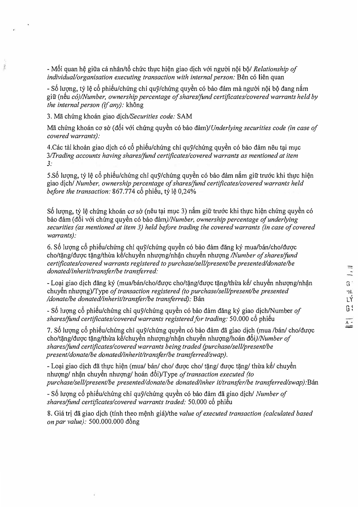- Mối quan hệ giữa cá nhân/tổ chức thực hiện giao dịch với người nội bộ/ *Relationship of individual/organisation executing transaction with internal person: Bên có liên quan* 

- Số lượng, tỷ lệ cổ phiếu/chứng chi quỹ/chứng quyền có bảo đảm mà người nội bộ đang nắm gi $\tilde{u}$  (nếu *có)/Number, ownership percentage of shares/fund certificates/covered warrants held by the internal person (if any):* không

3. Ma chung khoan giao *dich/Securities code:* SAM

Mã chứng khoán cơ sở (đối với chứng quyền có bảo đảm)/Underlying securities code (in case of *covered warrants):* 

4.Các tài khoản giao dịch có cổ phiếu/chứng chỉ quỹ/chứng quyền có bảo đảm nêu tại mục *3/Trading accounts having shares/fund certificates/covered warrants as mentioned at item 3:* 

5.Số lượng, tỷ lê cổ phiếu/chứng chỉ quỹ/chứng quyền có bảo đảm nắm giữ trước khi thực hiện giao dich/ *Number, ownership percentage of shares/fund certificates/covered warrants held before the transaction:* 867.774 cô phiếu, tỷ lệ 0,24%

Số lượng, tỷ lệ chứng khoán cơ sở (nêu tại mục 3) nắm giữ trước khi thực hiện chứng quyền có bảo đảm (đối với chứng quyền có bảo đảm)/Number, ownership percentage of underlying *securities (as mentioned at item 3) held before trading the covered warrants (in case of covered warrants):* 

6. Số lượng cổ phiếu/chứng chỉ quỹ/chứng quyền có bảo đảm đăng ký mua/bán/cho/được cho/tăng/được tăng/thừa kế/chuyển nhượng/nhận chuyển nhượng */Number of shares/fund certificates/covered warrants registered to purchase/sell/present/be presented/donate/be donated/inherit/transfer/be transferred:*

- Loại giao dịch đăng ký (mua/bán/cho/được cho/tặng/được tặng/thừa kế/ chuyển nhượng/nhận chuyền nhượng)/Type of transaction registered (to purchase/sell/present/be presented */donate/be donated/inherit/transfer/be transferred):* Ban

- *Sb* luqng *cb* phiBu/chfrng chi quy/chung quy6n c6 bao dam dang ky giao djch/Number *of shares/fund certificates/covered warrants registered for trading:* 50.000 *cô* phiếu

7. Số lượng cổ phiếu/chứng chỉ quỹ/chứng quyền có bảo đảm đã giao dịch (mua /bán/ cho/được cho/tặng/được tặng/thừa kế/chuyển nhượng/nhận chuyển nhượng/hoán đổi*)/Number of shares/fund certificates/covered warrants being traded (purchase/sell/present/be present/donate/be donated/inherit/transfer/be transferred/swap).*

- Lo(li giao djch da th\l'C hi�n (mua/ ban/ cho/ *duqc* cho/ t?ng/ *duqc* t?ng/ tht'ra kB/ chuy@n nhượng/ nhận chuyển nhượng/ hoán đổi)/Type of transaction executed (to *purchase/sell/present/be presented/donate/be donated/inher it/transfer/be transferredlswap):Ban*

- *Sb* luqng *cb* phiBu/chfrng chi quy/chung quy6n c6 bao dam da giao djch/ *Number of shares/fund certificates/covered warrants traded:* 50.000 cô phiếu

8. Gia tri da giao djch (tfnh theo m�nh gia)/the *value of executed transaction (calculated based on par value):* 500.000.000 d6ng